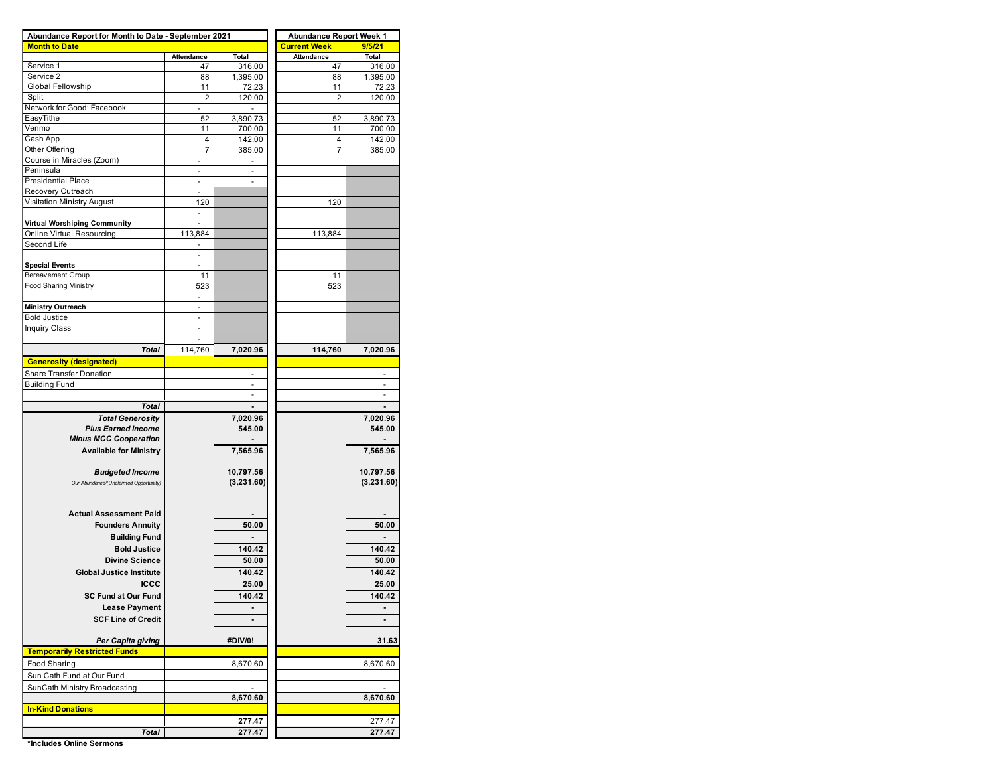| Abundance Report for Month to Date - September 2021 |                |                          | <b>Abundance Report Week 1</b> |                |  |  |  |  |  |  |
|-----------------------------------------------------|----------------|--------------------------|--------------------------------|----------------|--|--|--|--|--|--|
| <b>Month to Date</b>                                |                |                          | <b>Current Week</b>            | 9/5/21         |  |  |  |  |  |  |
|                                                     | Attendance     | Total                    | Attendance                     | Total          |  |  |  |  |  |  |
| Service 1                                           | 47             | 316.00                   | 47                             | 316.00         |  |  |  |  |  |  |
| Service 2                                           | 88             | 1,395.00                 | 88                             | 1,395.00       |  |  |  |  |  |  |
| Global Fellowship                                   | 11             | 72.23                    | 11                             | 72.23          |  |  |  |  |  |  |
| Split                                               | 2              | 120.00                   | 2                              | 120.00         |  |  |  |  |  |  |
| Network for Good: Facebook                          |                |                          |                                |                |  |  |  |  |  |  |
| EasyTithe                                           | 52             | 3,890.73                 | 52                             | 3,890.73       |  |  |  |  |  |  |
| Venmo                                               | 11             | 700.00                   | 11                             | 700.00         |  |  |  |  |  |  |
| Cash App                                            | 4              | 142.00                   | 4                              | 142.00         |  |  |  |  |  |  |
| Other Offering                                      | 7              | 385.00                   | 7                              | 385.00         |  |  |  |  |  |  |
| Course in Miracles (Zoom)                           |                |                          |                                |                |  |  |  |  |  |  |
| Peninsula                                           |                | $\overline{\phantom{a}}$ |                                |                |  |  |  |  |  |  |
| <b>Presidential Place</b>                           | ٠              | ÷                        |                                |                |  |  |  |  |  |  |
| Recovery Outreach                                   |                |                          |                                |                |  |  |  |  |  |  |
| Visitation Ministry August                          | 120            |                          | 120                            |                |  |  |  |  |  |  |
|                                                     | ä,             |                          |                                |                |  |  |  |  |  |  |
| Virtual Worshiping Community                        |                |                          |                                |                |  |  |  |  |  |  |
| Online Virtual Resourcing                           | 113,884        |                          | 113,884                        |                |  |  |  |  |  |  |
| Second Life                                         |                |                          |                                |                |  |  |  |  |  |  |
|                                                     |                |                          |                                |                |  |  |  |  |  |  |
| <b>Special Events</b>                               |                |                          |                                |                |  |  |  |  |  |  |
| <b>Bereavement Group</b>                            | 11             |                          | 11                             |                |  |  |  |  |  |  |
| <b>Food Sharing Ministry</b>                        | 523            |                          | 523                            |                |  |  |  |  |  |  |
|                                                     | ä,             |                          |                                |                |  |  |  |  |  |  |
| <b>Ministry Outreach</b>                            |                |                          |                                |                |  |  |  |  |  |  |
| <b>Bold Justice</b>                                 | $\overline{a}$ |                          |                                |                |  |  |  |  |  |  |
| <b>Inquiry Class</b>                                | ٠              |                          |                                |                |  |  |  |  |  |  |
|                                                     |                |                          |                                |                |  |  |  |  |  |  |
| Total                                               | 114,760        | 7,020.96                 | 114,760                        | 7,020.96       |  |  |  |  |  |  |
| <b>Generosity (designated)</b>                      |                |                          |                                |                |  |  |  |  |  |  |
| Share Transfer Donation                             |                |                          |                                | ٠              |  |  |  |  |  |  |
| <b>Building Fund</b>                                |                | $\overline{\phantom{a}}$ |                                |                |  |  |  |  |  |  |
|                                                     |                |                          |                                |                |  |  |  |  |  |  |
|                                                     |                |                          |                                |                |  |  |  |  |  |  |
| Total                                               |                |                          |                                |                |  |  |  |  |  |  |
| <b>Total Generosity</b>                             |                | 7,020.96                 |                                | 7,020.96       |  |  |  |  |  |  |
| <b>Plus Earned Income</b>                           |                | 545.00                   |                                | 545.00         |  |  |  |  |  |  |
| <b>Minus MCC Cooperation</b>                        |                |                          |                                |                |  |  |  |  |  |  |
| <b>Available for Ministry</b>                       |                | 7,565.96                 |                                | 7,565.96       |  |  |  |  |  |  |
|                                                     |                |                          |                                |                |  |  |  |  |  |  |
| <b>Budgeted Income</b>                              |                | 10,797.56                |                                | 10,797.56      |  |  |  |  |  |  |
| Our Abundance/(Unclaimed Opportunity)               |                | (3,231.60)               |                                | (3,231.60)     |  |  |  |  |  |  |
|                                                     |                |                          |                                |                |  |  |  |  |  |  |
|                                                     |                |                          |                                |                |  |  |  |  |  |  |
| <b>Actual Assessment Paid</b>                       |                |                          |                                |                |  |  |  |  |  |  |
| <b>Founders Annuity</b>                             |                | 50.00                    |                                | 50.00          |  |  |  |  |  |  |
| <b>Building Fund</b>                                |                |                          |                                |                |  |  |  |  |  |  |
| <b>Bold Justice</b>                                 |                | 140.42                   |                                | 140.42         |  |  |  |  |  |  |
| <b>Divine Science</b>                               |                | 50.00                    |                                | 50.00          |  |  |  |  |  |  |
|                                                     |                |                          |                                |                |  |  |  |  |  |  |
| <b>Global Justice Institute</b>                     |                | 140.42                   |                                | 140.42         |  |  |  |  |  |  |
| <b>ICCC</b>                                         |                | 25.00                    |                                | 25.00          |  |  |  |  |  |  |
| SC Fund at Our Fund                                 |                | 140.42                   |                                | 140.42         |  |  |  |  |  |  |
| <b>Lease Payment</b>                                |                | $\blacksquare$           |                                | $\blacksquare$ |  |  |  |  |  |  |
| <b>SCF Line of Credit</b>                           |                |                          |                                | $\blacksquare$ |  |  |  |  |  |  |
|                                                     |                |                          |                                |                |  |  |  |  |  |  |
| Per Capita giving                                   |                | #DIV/0!                  |                                | 31.63          |  |  |  |  |  |  |
| <b>Temporarily Restricted Funds</b>                 |                |                          |                                |                |  |  |  |  |  |  |
|                                                     |                |                          |                                |                |  |  |  |  |  |  |
| Food Sharing                                        |                | 8,670.60                 |                                | 8,670.60       |  |  |  |  |  |  |
| Sun Cath Fund at Our Fund                           |                |                          |                                |                |  |  |  |  |  |  |
| SunCath Ministry Broadcasting                       |                |                          |                                |                |  |  |  |  |  |  |
|                                                     |                | 8,670.60                 |                                | 8,670.60       |  |  |  |  |  |  |
| <b>In-Kind Donations</b>                            |                |                          |                                |                |  |  |  |  |  |  |
|                                                     |                | 277.47                   |                                | 277.47         |  |  |  |  |  |  |
| Total                                               |                | 277.47                   |                                | 277.47         |  |  |  |  |  |  |
|                                                     |                |                          |                                |                |  |  |  |  |  |  |

**\*Includes Online Sermons**